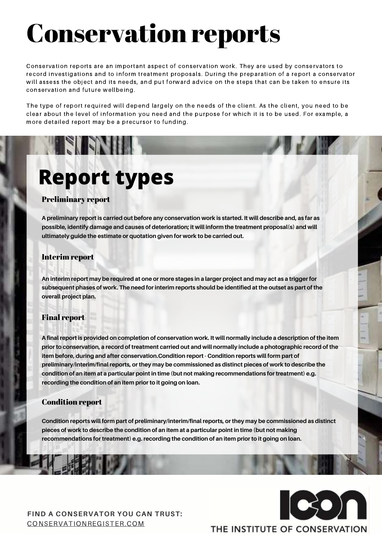#### Preliminary report

A preliminary report is carried out before any conservation work is started. It will describe and, as far as **possible, identify damage and causes of deterioration; it will inform the treatment proposal(s) and will ultimately guide the estimate or quotation given for work to be carried out.**

An interim report may be required at one or more stages in a larger project and may act as a trigger for subsequent phases of work. The need for interim reports should be identified at the outset as part of the **overall project plan.**

#### Interim report

#### Final report

A final report is provided on completion of conservation work. It will normally include a description of the item prior to conservation, a record of treatment carried out and will normally include a photographic record of the **item before, during and after conservation.Condition report - Condition reports will form part of preliminary/interim/final reports, or they may be commissioned as distinct pieces of work to describe the condition of an item at a particular point in time (but not making recommendations for treatment) e.g. recording the condition of an item prior to it going on loan.**

#### Condition report

**Condition reports will form part of preliminary/interim/final reports, or they may be commissioned as distinct** pieces of work to describe the condition of an item at a particular point in time (but not making **recommendations for treatment) e.g. recording the condition of an item prior to it going on loan.**

#### **FIND A CONSERVATOR YOU CAN TRUST:** [CONSERVATIONREGISTER.COM](https://www.conservationregister.com/)



#### THE INSTITUTE OF CONSERVATION

Conservation reports are an important aspect of conservation work. They are used by conservators to record investigations and to inform treatment proposals. During the preparation of a report a conservator will assess the object and its needs, and put forward advice on the steps that can be taken to ensure its conservation and future wellbeing.

The type of report required will depend largely on the needs of the client. As the client, you need to be clear about the level of information you need and the purpose for which it is to be used. For example, a more detailed report may be a precursor to funding.

# Conservation reports

### **Report types**